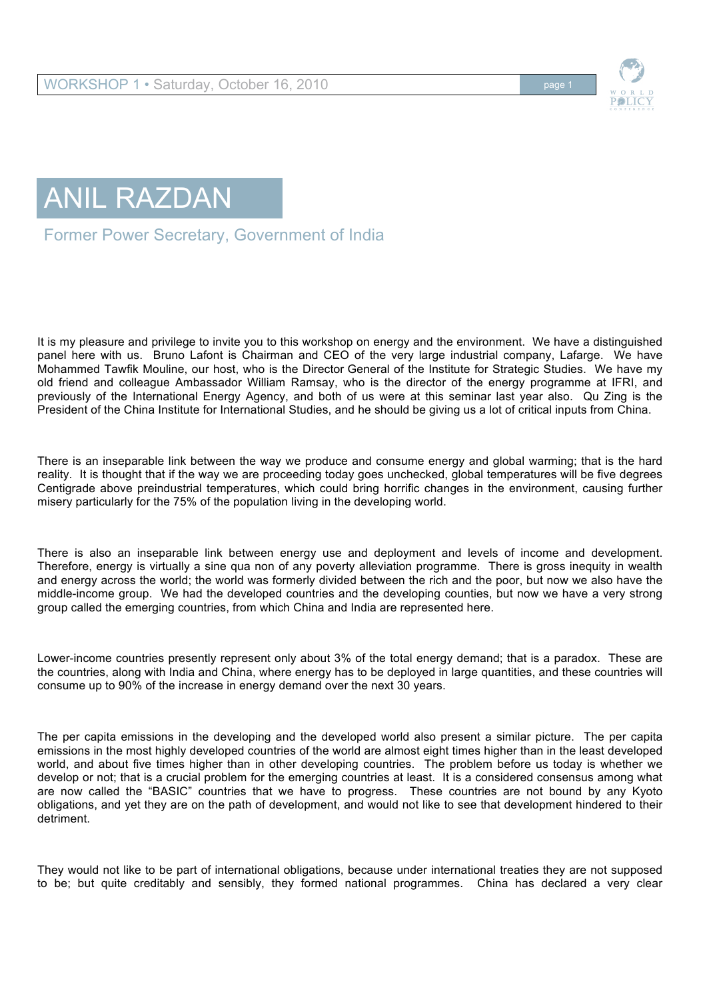



Former Power Secretary, Government of India

It is my pleasure and privilege to invite you to this workshop on energy and the environment. We have a distinguished panel here with us. Bruno Lafont is Chairman and CEO of the very large industrial company, Lafarge. We have Mohammed Tawfik Mouline, our host, who is the Director General of the Institute for Strategic Studies. We have my old friend and colleague Ambassador William Ramsay, who is the director of the energy programme at IFRI, and previously of the International Energy Agency, and both of us were at this seminar last year also. Qu Zing is the President of the China Institute for International Studies, and he should be giving us a lot of critical inputs from China.

There is an inseparable link between the way we produce and consume energy and global warming; that is the hard reality. It is thought that if the way we are proceeding today goes unchecked, global temperatures will be five degrees Centigrade above preindustrial temperatures, which could bring horrific changes in the environment, causing further misery particularly for the 75% of the population living in the developing world.

There is also an inseparable link between energy use and deployment and levels of income and development. Therefore, energy is virtually a sine qua non of any poverty alleviation programme. There is gross inequity in wealth and energy across the world; the world was formerly divided between the rich and the poor, but now we also have the middle-income group. We had the developed countries and the developing counties, but now we have a very strong group called the emerging countries, from which China and India are represented here.

Lower-income countries presently represent only about 3% of the total energy demand; that is a paradox. These are the countries, along with India and China, where energy has to be deployed in large quantities, and these countries will consume up to 90% of the increase in energy demand over the next 30 years.

The per capita emissions in the developing and the developed world also present a similar picture. The per capita emissions in the most highly developed countries of the world are almost eight times higher than in the least developed world, and about five times higher than in other developing countries. The problem before us today is whether we develop or not; that is a crucial problem for the emerging countries at least. It is a considered consensus among what are now called the "BASIC" countries that we have to progress. These countries are not bound by any Kyoto obligations, and yet they are on the path of development, and would not like to see that development hindered to their detriment.

They would not like to be part of international obligations, because under international treaties they are not supposed to be; but quite creditably and sensibly, they formed national programmes. China has declared a very clear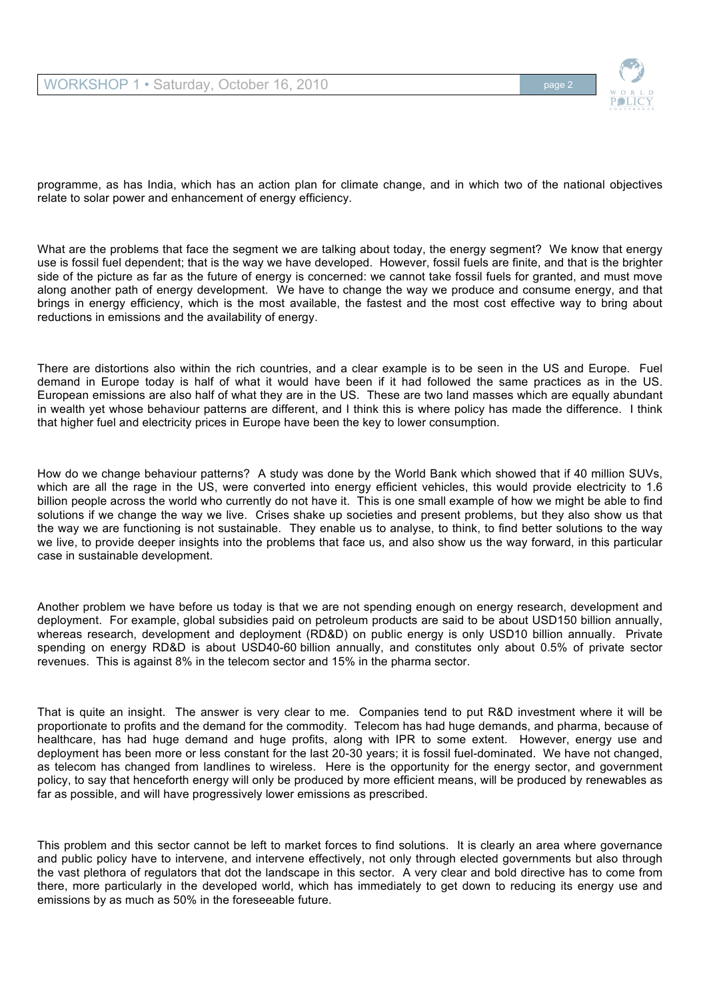## WORKSHOP 1 • Saturday, October 16, 2010 **Page 2** Page 2



programme, as has India, which has an action plan for climate change, and in which two of the national objectives relate to solar power and enhancement of energy efficiency.

What are the problems that face the segment we are talking about today, the energy segment? We know that energy use is fossil fuel dependent; that is the way we have developed. However, fossil fuels are finite, and that is the brighter side of the picture as far as the future of energy is concerned: we cannot take fossil fuels for granted, and must move along another path of energy development. We have to change the way we produce and consume energy, and that brings in energy efficiency, which is the most available, the fastest and the most cost effective way to bring about reductions in emissions and the availability of energy.

There are distortions also within the rich countries, and a clear example is to be seen in the US and Europe. Fuel demand in Europe today is half of what it would have been if it had followed the same practices as in the US. European emissions are also half of what they are in the US. These are two land masses which are equally abundant in wealth yet whose behaviour patterns are different, and I think this is where policy has made the difference. I think that higher fuel and electricity prices in Europe have been the key to lower consumption.

How do we change behaviour patterns? A study was done by the World Bank which showed that if 40 million SUVs, which are all the rage in the US, were converted into energy efficient vehicles, this would provide electricity to 1.6 billion people across the world who currently do not have it. This is one small example of how we might be able to find solutions if we change the way we live. Crises shake up societies and present problems, but they also show us that the way we are functioning is not sustainable. They enable us to analyse, to think, to find better solutions to the way we live, to provide deeper insights into the problems that face us, and also show us the way forward, in this particular case in sustainable development.

Another problem we have before us today is that we are not spending enough on energy research, development and deployment. For example, global subsidies paid on petroleum products are said to be about USD150 billion annually, whereas research, development and deployment (RD&D) on public energy is only USD10 billion annually. Private spending on energy RD&D is about USD40-60 billion annually, and constitutes only about 0.5% of private sector revenues. This is against 8% in the telecom sector and 15% in the pharma sector.

That is quite an insight. The answer is very clear to me. Companies tend to put R&D investment where it will be proportionate to profits and the demand for the commodity. Telecom has had huge demands, and pharma, because of healthcare, has had huge demand and huge profits, along with IPR to some extent. However, energy use and deployment has been more or less constant for the last 20-30 years; it is fossil fuel-dominated. We have not changed, as telecom has changed from landlines to wireless. Here is the opportunity for the energy sector, and government policy, to say that henceforth energy will only be produced by more efficient means, will be produced by renewables as far as possible, and will have progressively lower emissions as prescribed.

This problem and this sector cannot be left to market forces to find solutions. It is clearly an area where governance and public policy have to intervene, and intervene effectively, not only through elected governments but also through the vast plethora of regulators that dot the landscape in this sector. A very clear and bold directive has to come from there, more particularly in the developed world, which has immediately to get down to reducing its energy use and emissions by as much as 50% in the foreseeable future.